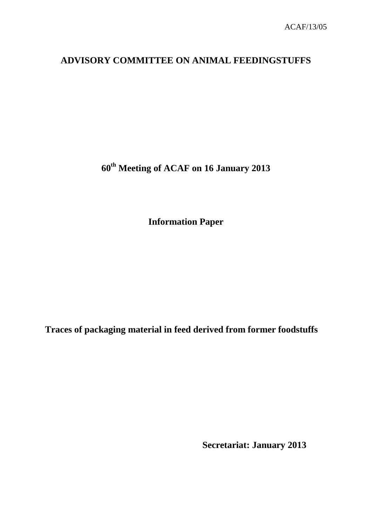# **ADVISORY COMMITTEE ON ANIMAL FEEDINGSTUFFS**

**60th Meeting of ACAF on 16 January 2013**

**Information Paper**

**Traces of packaging material in feed derived from former foodstuffs**

**Secretariat: January 2013**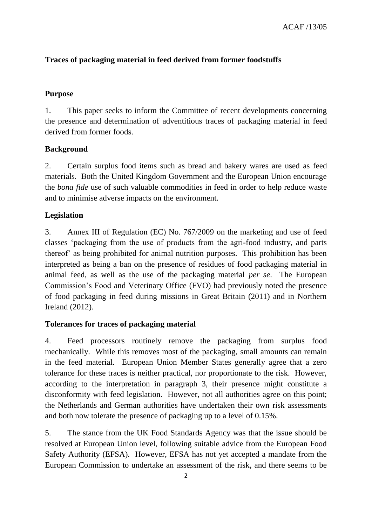# **Traces of packaging material in feed derived from former foodstuffs**

## **Purpose**

1. This paper seeks to inform the Committee of recent developments concerning the presence and determination of adventitious traces of packaging material in feed derived from former foods.

# **Background**

2. Certain surplus food items such as bread and bakery wares are used as feed materials. Both the United Kingdom Government and the European Union encourage the *bona fide* use of such valuable commodities in feed in order to help reduce waste and to minimise adverse impacts on the environment.

# **Legislation**

3. Annex III of Regulation (EC) No. 767/2009 on the marketing and use of feed classes 'packaging from the use of products from the agri-food industry, and parts thereof' as being prohibited for animal nutrition purposes. This prohibition has been interpreted as being a ban on the presence of residues of food packaging material in animal feed, as well as the use of the packaging material *per se*. The European Commission's Food and Veterinary Office (FVO) had previously noted the presence of food packaging in feed during missions in Great Britain (2011) and in Northern Ireland (2012).

# **Tolerances for traces of packaging material**

4. Feed processors routinely remove the packaging from surplus food mechanically. While this removes most of the packaging, small amounts can remain in the feed material. European Union Member States generally agree that a zero tolerance for these traces is neither practical, nor proportionate to the risk. However, according to the interpretation in paragraph 3, their presence might constitute a disconformity with feed legislation. However, not all authorities agree on this point; the Netherlands and German authorities have undertaken their own risk assessments and both now tolerate the presence of packaging up to a level of 0.15%.

5. The stance from the UK Food Standards Agency was that the issue should be resolved at European Union level, following suitable advice from the European Food Safety Authority (EFSA). However, EFSA has not yet accepted a mandate from the European Commission to undertake an assessment of the risk, and there seems to be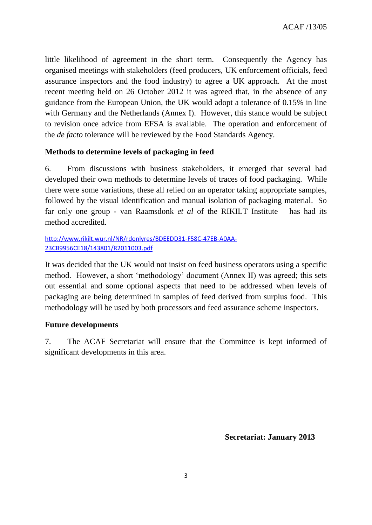little likelihood of agreement in the short term. Consequently the Agency has organised meetings with stakeholders (feed producers, UK enforcement officials, feed assurance inspectors and the food industry) to agree a UK approach. At the most recent meeting held on 26 October 2012 it was agreed that, in the absence of any guidance from the European Union, the UK would adopt a tolerance of 0.15% in line with Germany and the Netherlands (Annex I). However, this stance would be subject to revision once advice from EFSA is available. The operation and enforcement of the *de facto* tolerance will be reviewed by the Food Standards Agency.

# **Methods to determine levels of packaging in feed**

6. From discussions with business stakeholders, it emerged that several had developed their own methods to determine levels of traces of food packaging. While there were some variations, these all relied on an operator taking appropriate samples, followed by the visual identification and manual isolation of packaging material. So far only one group - van Raamsdonk *et al* of the RIKILT Institute – has had its method accredited.

[http://www.rikilt.wur.nl/NR/rdonlyres/BDEEDD31-F58C-47EB-A0AA-](http://www.rikilt.wur.nl/NR/rdonlyres/BDEEDD31-F58C-47EB-A0AA-23CB9956CE18/143801/R2011003.pdf)[23CB9956CE18/143801/R2011003.pdf](http://www.rikilt.wur.nl/NR/rdonlyres/BDEEDD31-F58C-47EB-A0AA-23CB9956CE18/143801/R2011003.pdf)

It was decided that the UK would not insist on feed business operators using a specific method. However, a short 'methodology' document (Annex II) was agreed; this sets out essential and some optional aspects that need to be addressed when levels of packaging are being determined in samples of feed derived from surplus food. This methodology will be used by both processors and feed assurance scheme inspectors.

#### **Future developments**

7. The ACAF Secretariat will ensure that the Committee is kept informed of significant developments in this area.

**Secretariat: January 2013**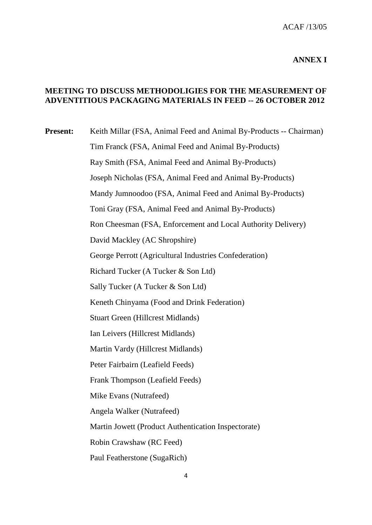#### **ANNEX I**

#### **MEETING TO DISCUSS METHODOLIGIES FOR THE MEASUREMENT OF ADVENTITIOUS PACKAGING MATERIALS IN FEED -- 26 OCTOBER 2012**

**Present:** Keith Millar (FSA, Animal Feed and Animal By-Products -- Chairman) Tim Franck (FSA, Animal Feed and Animal By-Products) Ray Smith (FSA, Animal Feed and Animal By-Products) Joseph Nicholas (FSA, Animal Feed and Animal By-Products) Mandy Jumnoodoo (FSA, Animal Feed and Animal By-Products) Toni Gray (FSA, Animal Feed and Animal By-Products) Ron Cheesman (FSA, Enforcement and Local Authority Delivery) David Mackley (AC Shropshire) George Perrott (Agricultural Industries Confederation) Richard Tucker (A Tucker & Son Ltd) Sally Tucker (A Tucker & Son Ltd) Keneth Chinyama (Food and Drink Federation) Stuart Green (Hillcrest Midlands) Ian Leivers (Hillcrest Midlands) Martin Vardy (Hillcrest Midlands) Peter Fairbairn (Leafield Feeds) Frank Thompson (Leafield Feeds) Mike Evans (Nutrafeed) Angela Walker (Nutrafeed) Martin Jowett (Product Authentication Inspectorate) Robin Crawshaw (RC Feed) Paul Featherstone (SugaRich)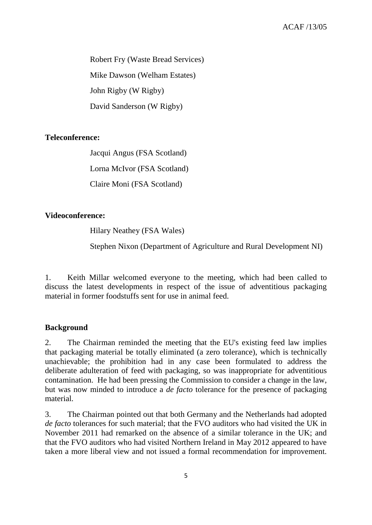Robert Fry (Waste Bread Services) Mike Dawson (Welham Estates) John Rigby (W Rigby)

David Sanderson (W Rigby)

# **Teleconference:**

Jacqui Angus (FSA Scotland) Lorna McIvor (FSA Scotland) Claire Moni (FSA Scotland)

## **Videoconference:**

Hilary Neathey (FSA Wales)

Stephen Nixon (Department of Agriculture and Rural Development NI)

1. Keith Millar welcomed everyone to the meeting, which had been called to discuss the latest developments in respect of the issue of adventitious packaging material in former foodstuffs sent for use in animal feed.

#### **Background**

2. The Chairman reminded the meeting that the EU's existing feed law implies that packaging material be totally eliminated (a zero tolerance), which is technically unachievable; the prohibition had in any case been formulated to address the deliberate adulteration of feed with packaging, so was inappropriate for adventitious contamination. He had been pressing the Commission to consider a change in the law, but was now minded to introduce a *de facto* tolerance for the presence of packaging material.

3. The Chairman pointed out that both Germany and the Netherlands had adopted *de facto* tolerances for such material; that the FVO auditors who had visited the UK in November 2011 had remarked on the absence of a similar tolerance in the UK; and that the FVO auditors who had visited Northern Ireland in May 2012 appeared to have taken a more liberal view and not issued a formal recommendation for improvement.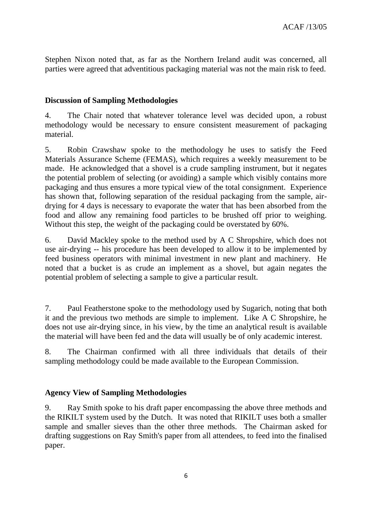Stephen Nixon noted that, as far as the Northern Ireland audit was concerned, all parties were agreed that adventitious packaging material was not the main risk to feed.

## **Discussion of Sampling Methodologies**

4. The Chair noted that whatever tolerance level was decided upon, a robust methodology would be necessary to ensure consistent measurement of packaging material.

5. Robin Crawshaw spoke to the methodology he uses to satisfy the Feed Materials Assurance Scheme (FEMAS), which requires a weekly measurement to be made. He acknowledged that a shovel is a crude sampling instrument, but it negates the potential problem of selecting (or avoiding) a sample which visibly contains more packaging and thus ensures a more typical view of the total consignment. Experience has shown that, following separation of the residual packaging from the sample, airdrying for 4 days is necessary to evaporate the water that has been absorbed from the food and allow any remaining food particles to be brushed off prior to weighing. Without this step, the weight of the packaging could be overstated by 60%.

6. David Mackley spoke to the method used by A C Shropshire, which does not use air-drying -- his procedure has been developed to allow it to be implemented by feed business operators with minimal investment in new plant and machinery. He noted that a bucket is as crude an implement as a shovel, but again negates the potential problem of selecting a sample to give a particular result.

7. Paul Featherstone spoke to the methodology used by Sugarich, noting that both it and the previous two methods are simple to implement. Like A C Shropshire, he does not use air-drying since, in his view, by the time an analytical result is available the material will have been fed and the data will usually be of only academic interest.

8. The Chairman confirmed with all three individuals that details of their sampling methodology could be made available to the European Commission.

#### **Agency View of Sampling Methodologies**

9. Ray Smith spoke to his draft paper encompassing the above three methods and the RIKILT system used by the Dutch. It was noted that RIKILT uses both a smaller sample and smaller sieves than the other three methods. The Chairman asked for drafting suggestions on Ray Smith's paper from all attendees, to feed into the finalised paper.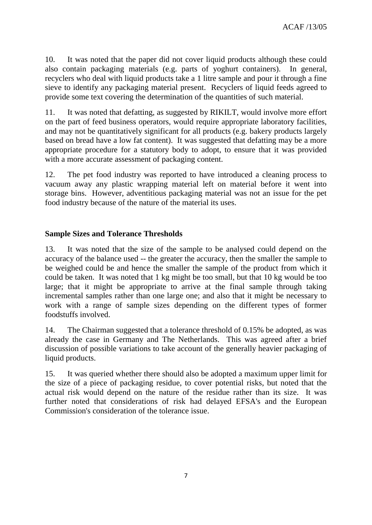10. It was noted that the paper did not cover liquid products although these could also contain packaging materials (e.g. parts of yoghurt containers). In general, recyclers who deal with liquid products take a 1 litre sample and pour it through a fine sieve to identify any packaging material present. Recyclers of liquid feeds agreed to provide some text covering the determination of the quantities of such material.

11. It was noted that defatting, as suggested by RIKILT, would involve more effort on the part of feed business operators, would require appropriate laboratory facilities, and may not be quantitatively significant for all products (e.g. bakery products largely based on bread have a low fat content). It was suggested that defatting may be a more appropriate procedure for a statutory body to adopt, to ensure that it was provided with a more accurate assessment of packaging content.

12. The pet food industry was reported to have introduced a cleaning process to vacuum away any plastic wrapping material left on material before it went into storage bins. However, adventitious packaging material was not an issue for the pet food industry because of the nature of the material its uses.

# **Sample Sizes and Tolerance Thresholds**

13. It was noted that the size of the sample to be analysed could depend on the accuracy of the balance used -- the greater the accuracy, then the smaller the sample to be weighed could be and hence the smaller the sample of the product from which it could be taken. It was noted that 1 kg might be too small, but that 10 kg would be too large; that it might be appropriate to arrive at the final sample through taking incremental samples rather than one large one; and also that it might be necessary to work with a range of sample sizes depending on the different types of former foodstuffs involved.

14. The Chairman suggested that a tolerance threshold of 0.15% be adopted, as was already the case in Germany and The Netherlands. This was agreed after a brief discussion of possible variations to take account of the generally heavier packaging of liquid products.

15. It was queried whether there should also be adopted a maximum upper limit for the size of a piece of packaging residue, to cover potential risks, but noted that the actual risk would depend on the nature of the residue rather than its size. It was further noted that considerations of risk had delayed EFSA's and the European Commission's consideration of the tolerance issue.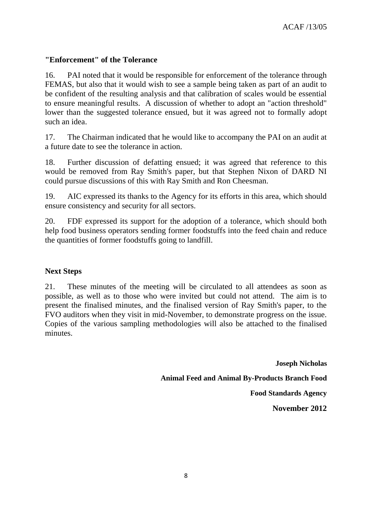# **"Enforcement" of the Tolerance**

16. PAI noted that it would be responsible for enforcement of the tolerance through FEMAS, but also that it would wish to see a sample being taken as part of an audit to be confident of the resulting analysis and that calibration of scales would be essential to ensure meaningful results. A discussion of whether to adopt an "action threshold" lower than the suggested tolerance ensued, but it was agreed not to formally adopt such an idea.

17. The Chairman indicated that he would like to accompany the PAI on an audit at a future date to see the tolerance in action.

18. Further discussion of defatting ensued; it was agreed that reference to this would be removed from Ray Smith's paper, but that Stephen Nixon of DARD NI could pursue discussions of this with Ray Smith and Ron Cheesman.

19. AIC expressed its thanks to the Agency for its efforts in this area, which should ensure consistency and security for all sectors.

20. FDF expressed its support for the adoption of a tolerance, which should both help food business operators sending former foodstuffs into the feed chain and reduce the quantities of former foodstuffs going to landfill.

# **Next Steps**

21. These minutes of the meeting will be circulated to all attendees as soon as possible, as well as to those who were invited but could not attend. The aim is to present the finalised minutes, and the finalised version of Ray Smith's paper, to the FVO auditors when they visit in mid-November, to demonstrate progress on the issue. Copies of the various sampling methodologies will also be attached to the finalised minutes.

**Joseph Nicholas**

**Animal Feed and Animal By-Products Branch Food** 

**Food Standards Agency**

**November 2012**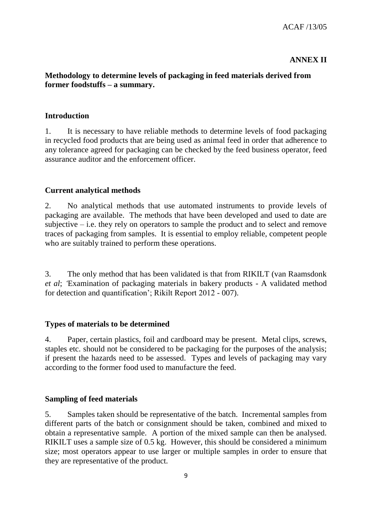### **ANNEX II**

## **Methodology to determine levels of packaging in feed materials derived from former foodstuffs – a summary.**

#### **Introduction**

1. It is necessary to have reliable methods to determine levels of food packaging in recycled food products that are being used as animal feed in order that adherence to any tolerance agreed for packaging can be checked by the feed business operator, feed assurance auditor and the enforcement officer.

#### **Current analytical methods**

2. No analytical methods that use automated instruments to provide levels of packaging are available. The methods that have been developed and used to date are subjective  $-$  i.e. they rely on operators to sample the product and to select and remove traces of packaging from samples. It is essential to employ reliable, competent people who are suitably trained to perform these operations.

3. The only method that has been validated is that from RIKILT (van Raamsdonk *et al*; *'*Examination of packaging materials in bakery products - A validated method for detection and quantification'; Rikilt Report 2012 - 007).

#### **Types of materials to be determined**

4. Paper, certain plastics, foil and cardboard may be present. Metal clips, screws, staples etc. should not be considered to be packaging for the purposes of the analysis; if present the hazards need to be assessed. Types and levels of packaging may vary according to the former food used to manufacture the feed.

#### **Sampling of feed materials**

5. Samples taken should be representative of the batch. Incremental samples from different parts of the batch or consignment should be taken, combined and mixed to obtain a representative sample. A portion of the mixed sample can then be analysed. RIKILT uses a sample size of 0.5 kg. However, this should be considered a minimum size; most operators appear to use larger or multiple samples in order to ensure that they are representative of the product.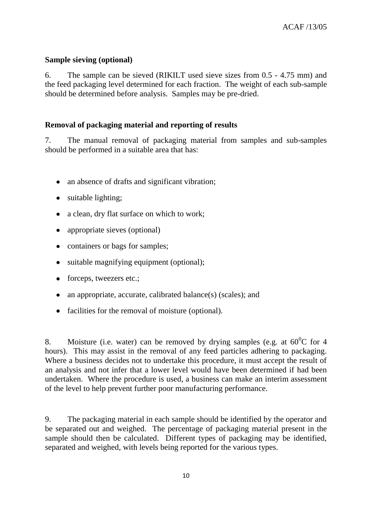## **Sample sieving (optional)**

6. The sample can be sieved (RIKILT used sieve sizes from 0.5 - 4.75 mm) and the feed packaging level determined for each fraction. The weight of each sub-sample should be determined before analysis. Samples may be pre-dried.

## **Removal of packaging material and reporting of results**

7. The manual removal of packaging material from samples and sub-samples should be performed in a suitable area that has:

- an absence of drafts and significant vibration;
- suitable lighting:
- a clean, dry flat surface on which to work;  $\bullet$
- appropriate sieves (optional)
- containers or bags for samples;
- suitable magnifying equipment (optional);
- forceps, tweezers etc.;
- an appropriate, accurate, calibrated balance(s) (scales); and
- facilities for the removal of moisture (optional).

8. Moisture (i.e. water) can be removed by drying samples (e.g. at  $60^{\circ}$ C for 4 hours). This may assist in the removal of any feed particles adhering to packaging. Where a business decides not to undertake this procedure, it must accept the result of an analysis and not infer that a lower level would have been determined if had been undertaken. Where the procedure is used, a business can make an interim assessment of the level to help prevent further poor manufacturing performance.

9. The packaging material in each sample should be identified by the operator and be separated out and weighed. The percentage of packaging material present in the sample should then be calculated. Different types of packaging may be identified, separated and weighed, with levels being reported for the various types.